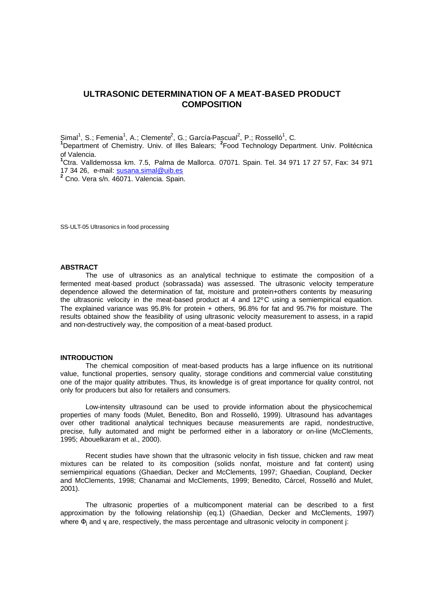# **ULTRASONIC DETERMINATION OF A MEAT-BASED PRODUCT COMPOSITION**

Simal<sup>1</sup>, S.; Femenia<sup>1</sup>, A.; Clemente<sup>2</sup>, G.; García-Pascual<sup>2</sup>, P.; Rosselló<sup>1</sup>, C.

**<sup>1</sup>**Department of Chemistry. Univ. of Illes Balears; **<sup>2</sup>** Food Technology Department. Univ. Politécnica of Valencia.

**<sup>1</sup>**Ctra. Valldemossa km. 7.5, Palma de Mallorca. 07071. Spain. Tel. 34 971 17 27 57, Fax: 34 971 17 34 26, e-mail: susana.simal@uib.es

**2** Cno. Vera s/n. 46071. Valencia. Spain.

SS-ULT-05 Ultrasonics in food processing

# **ABSTRACT**

The use of ultrasonics as an analytical technique to estimate the composition of a fermented meat-based product (sobrassada) was assessed. The ultrasonic velocity temperature dependence allowed the determination of fat, moisture and protein+others contents by measuring the ultrasonic velocity in the meat-based product at 4 and 12ºC using a semiempirical equation. The explained variance was 95.8% for protein + others, 96.8% for fat and 95.7% for moisture. The results obtained show the feasibility of using ultrasonic velocity measurement to assess, in a rapid and non-destructively way, the composition of a meat-based product.

#### **INTRODUCTION**

The chemical composition of meat-based products has a large influence on its nutritional value, functional properties, sensory quality, storage conditions and commercial value constituting one of the major quality attributes. Thus, its knowledge is of great importance for quality control, not only for producers but also for retailers and consumers.

Low-intensity ultrasound can be used to provide information about the physicochemical properties of many foods (Mulet, Benedito, Bon and Rosselló, 1999). Ultrasound has advantages over other traditional analytical techniques because measurements are rapid, nondestructive, precise, fully automated and might be performed either in a laboratory or on-line (McClements, 1995; Abouelkaram et al., 2000).

Recent studies have shown that the ultrasonic velocity in fish tissue, chicken and raw meat mixtures can be related to its composition (solids nonfat, moisture and fat content) using semiempirical equations (Ghaedian, Decker and McClements, 1997; Ghaedian, Coupland, Decker and McClements, 1998; Chanamai and McClements, 1999; Benedito, Cárcel, Rosselló and Mulet, 2001).

The ultrasonic properties of a multicomponent material can be described to a first approximation by the following relationship (eq.1) (Ghaedian, Decker and McClements, 1997) where  $\Phi_{\mathsf{j}}$  and  $\mathsf{v}_{\mathsf{j}}$  are, respectively, the mass percentage and ultrasonic velocity in component j: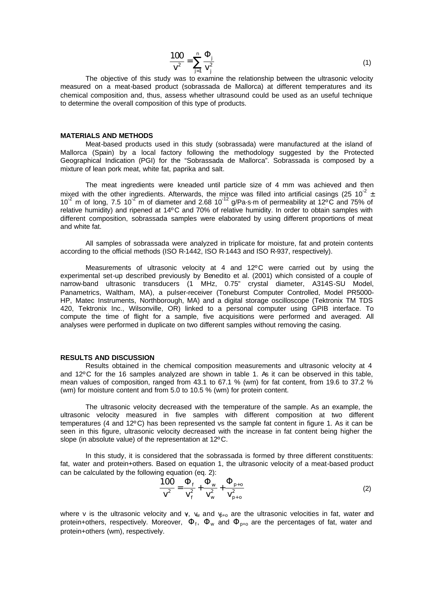$$
\frac{100}{v^2} = \sum_{j=1}^{n} \frac{\Phi_j}{v_j^2}
$$
 (1)

The objective of this study was to examine the relationship between the ultrasonic velocity measured on a meat-based product (sobrassada de Mallorca) at different temperatures and its chemical composition and, thus, assess whether ultrasound could be used as an useful technique to determine the overall composition of this type of products.

## **MATERIALS AND METHODS**

Meat-based products used in this study (sobrassada) were manufactured at the island of Mallorca (Spain) by a local factory following the methodology suggested by the Protected Geographical Indication (PGI) for the "Sobrassada de Mallorca". Sobrassada is composed by a mixture of lean pork meat, white fat, paprika and salt.

The meat ingredients were kneaded until particle size of 4 mm was achieved and then mixed with the other ingredients. Afterwards, the mince was filled into artificial casings (25 10<sup>-2</sup> ± 10<sup>-2</sup> m of long, 7.5 10<sup>-2</sup> m of diameter and 2.68 10<sup>-12</sup> g/Pa·s·m of permeability at 12<sup>o</sup>C and 75% of relative humidity) and ripened at 14ºC and 70% of relative humidity. In order to obtain samples with different composition, sobrassada samples were elaborated by using different proportions of meat and white fat.

All samples of sobrassada were analyzed in triplicate for moisture, fat and protein contents according to the official methods (ISO R-1442, ISO R-1443 and ISO R-937, respectively).

Measurements of ultrasonic velocity at 4 and 12ºC were carried out by using the experimental set-up described previously by Benedito et al. (2001) which consisted of a couple of narrow-band ultrasonic transducers (1 MHz, 0.75" crystal diameter, A314S-SU Model, Panametrics, Waltham, MA), a pulser-receiver (Toneburst Computer Controlled, Model PR5000- HP, Matec Instruments, Northborough, MA) and a digital storage oscilloscope (Tektronix TM TDS 420, Tektronix Inc., Wilsonville, OR) linked to a personal computer using GPIB interface. To compute the time of flight for a sample, five acquisitions were performed and averaged. All analyses were performed in duplicate on two different samples without removing the casing.

## **RESULTS AND DISCUSSION**

Results obtained in the chemical composition measurements and ultrasonic velocity at 4 and 12ºC for the 16 samples analyzed are shown in table 1. As it can be observed in this table, mean values of composition, ranged from 43.1 to 67.1 % (wm) for fat content, from 19.6 to 37.2 % (wm) for moisture content and from 5.0 to 10.5 % (wm) for protein content.

The ultrasonic velocity decreased with the temperature of the sample. As an example, the ultrasonic velocity measured in five samples with different composition at two different temperatures (4 and 12ºC) has been represented vs the sample fat content in figure 1. As it can be seen in this figure, ultrasonic velocity decreased with the increase in fat content being higher the slope (in absolute value) of the representation at 12ºC.

In this study, it is considered that the sobrassada is formed by three different constituents: fat, water and protein+others. Based on equation 1, the ultrasonic velocity of a meat-based product can be calculated by the following equation (eq. 2):

$$
\frac{100}{v^2} = \frac{\Phi_f}{v_f^2} + \frac{\Phi_w}{v_w^2} + \frac{\Phi_{p+o}}{v_{p+o}^2}
$$
 (2)

where v is the ultrasonic velocity and  $\gamma$ ,  $v_w$  and  $v_{p+0}$  are the ultrasonic velocities in fat, water and protein+others, respectively. Moreover,  $\Phi_f$ ,  $\Phi_w$  and  $\Phi_{p+o}$  are the percentages of fat, water and protein+others (wm), respectively.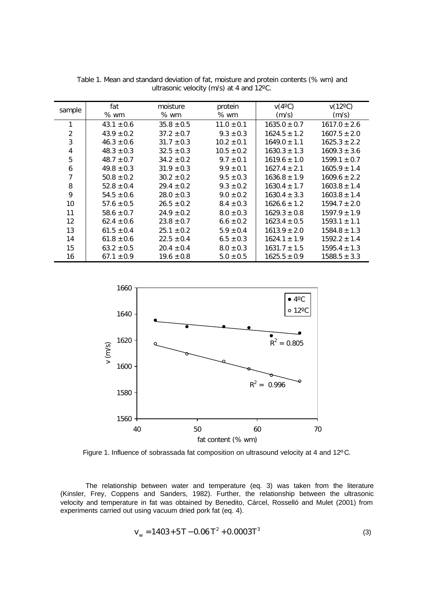| sample         | fat            | moisture       | protein        | $V(4^{\circ}C)$  | $v(12^{\circ}C)$ |
|----------------|----------------|----------------|----------------|------------------|------------------|
|                | $%$ wm         | $%$ wm         | $%$ wm         | (m/s)            | (m/s)            |
|                | $43.1 \pm 0.6$ | $35.8 \pm 0.5$ | $11.0 \pm 0.1$ | $1635.0 \pm 0.7$ | $1617.0 \pm 2.6$ |
| 2              | $43.9 \pm 0.2$ | $37.2 \pm 0.7$ | $9.3 \pm 0.3$  | $1624.5 \pm 1.2$ | $1607.5 \pm 2.0$ |
| 3              | $46.3 \pm 0.6$ | $31.7 \pm 0.3$ | $10.2 \pm 0.1$ | $1649.0 \pm 1.1$ | $1625.3 \pm 2.2$ |
| $\overline{4}$ | $48.3 \pm 0.3$ | $32.5 \pm 0.3$ | $10.5 \pm 0.2$ | $1630.3 \pm 1.3$ | $1609.3 \pm 3.6$ |
| 5              | $48.7 \pm 0.7$ | $34.2 \pm 0.2$ | $9.7 \pm 0.1$  | $1619.6 \pm 1.0$ | $1599.1 \pm 0.7$ |
| 6              | $49.8 \pm 0.3$ | $31.9 \pm 0.3$ | $9.9 \pm 0.1$  | $1627.4 \pm 2.1$ | $1605.9 \pm 1.4$ |
| 7              | $50.8 \pm 0.2$ | $30.2 \pm 0.2$ | $9.5 \pm 0.3$  | $1636.8 \pm 1.9$ | $1609.6 \pm 2.2$ |
| 8              | $52.8 \pm 0.4$ | $29.4 \pm 0.2$ | $9.3 \pm 0.2$  | $1630.4 \pm 1.7$ | $1603.8 \pm 1.4$ |
| 9              | $54.5 \pm 0.6$ | $28.0 \pm 0.3$ | $9.0 \pm 0.2$  | $1630.4 \pm 3.3$ | $1603.8 \pm 1.4$ |
| 10             | $57.6 \pm 0.5$ | $26.5 \pm 0.2$ | $8.4 \pm 0.3$  | $1626.6 \pm 1.2$ | $1594.7 \pm 2.0$ |
| 11             | $58.6 \pm 0.7$ | $24.9 \pm 0.2$ | $8.0 \pm 0.3$  | $1629.3 \pm 0.8$ | $1597.9 \pm 1.9$ |
| 12             | $62.4 \pm 0.6$ | $23.8 \pm 0.7$ | $6.6 \pm 0.2$  | $1623.4 \pm 0.5$ | $1593.1 \pm 1.1$ |
| 13             | $61.5 \pm 0.4$ | $25.1 \pm 0.2$ | $5.9 \pm 0.4$  | $1613.9 \pm 2.0$ | $1584.8 \pm 1.3$ |
| 14             | $61.8 \pm 0.6$ | $22.5 \pm 0.4$ | $6.5 \pm 0.3$  | $1624.1 \pm 1.9$ | $1592.2 \pm 1.4$ |
| 15             | $63.2 \pm 0.5$ | $20.4 \pm 0.4$ | $8.0 \pm 0.3$  | $1631.7 \pm 1.5$ | $1595.4 \pm 1.3$ |
| 16             | $67.1 \pm 0.9$ | $19.6 \pm 0.8$ | $5.0 \pm 0.5$  | $1625.5 \pm 0.9$ | $1588.5 \pm 3.3$ |

Table 1. Mean and standard deviation of fat, moisture and protein contents (% wm) and ultrasonic velocity (m/s) at 4 and 12ºC.



Figure 1. Influence of sobrassada fat composition on ultrasound velocity at 4 and 12ºC.

The relationship between water and temperature (eq. 3) was taken from the literature (Kinsler, Frey, Coppens and Sanders, 1982). Further, the relationship between the ultrasonic velocity and temperature in fat was obtained by Benedito, Cárcel, Rosselló and Mulet (2001) from experiments carried out using vacuum dried pork fat (eq. 4).

$$
v_w = 1403 + 5T - 0.06 T^2 + 0.0003T^3
$$
 (3)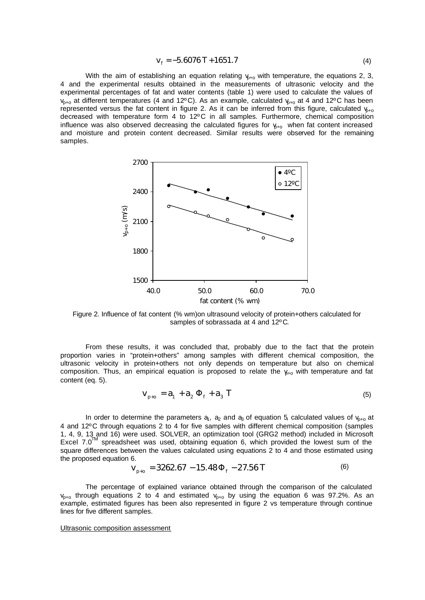$$
V_f = -5.6076 T + 1651.7
$$
 (4)

With the aim of establishing an equation relating  $v_{p+0}$  with temperature, the equations 2, 3, 4 and the experimental results obtained in the measurements of ultrasonic velocity and the experimental percentages of fat and water contents (table 1) were used to calculate the values of  $v_{p+o}$  at different temperatures (4 and 12°C). As an example, calculated  $v_{p+o}$  at 4 and 12°C has been represented versus the fat content in figure 2. As it can be inferred from this figure, calculated  $v_{0+0}$ decreased with temperature form 4 to 12ºC in all samples. Furthermore, chemical composition influence was also observed decreasing the calculated figures for  $y_{+o}$  when fat content increased and moisture and protein content decreased. Similar results were observed for the remaining samples.



Figure 2. Influence of fat content (% wm)on ultrasound velocity of protein+others calculated for samples of sobrassada at 4 and 12°C.

From these results, it was concluded that, probably due to the fact that the protein proportion varies in "protein+others" among samples with different chemical composition, the ultrasonic velocity in protein+others not only depends on temperature but also on chemical composition. Thus, an empirical equation is proposed to relate the  $y_{+0}$  with temperature and fat content (eq. 5).

$$
V_{p+0} = a_1 + a_2 \Phi_f + a_3 T
$$
 (5)

In order to determine the parameters  $a_1$ ,  $a_2$  and  $a_3$  of equation 5, calculated values of  $v_{p+o}$  at 4 and 12ºC through equations 2 to 4 for five samples with different chemical composition (samples 1, 4, 9, 13 and 16) were used. SOLVER, an optimization tool (GRG2 method) included in Microsoft Excel  $7.0^{TM}$  spreadsheet was used, obtaining equation 6, which provided the lowest sum of the square differences between the values calculated using equations 2 to 4 and those estimated using the proposed equation 6.

$$
v_{p+0} = 3262.67 - 15.48 \Phi_f - 27.56 T
$$
 (6)

The percentage of explained variance obtained through the comparison of the calculated  $v_{n+0}$  through equations 2 to 4 and estimated  $v_{p+0}$  by using the equation 6 was 97.2%. As an example, estimated figures has been also represented in figure 2 vs temperature through continue lines for five different samples.

### Ultrasonic composition assessment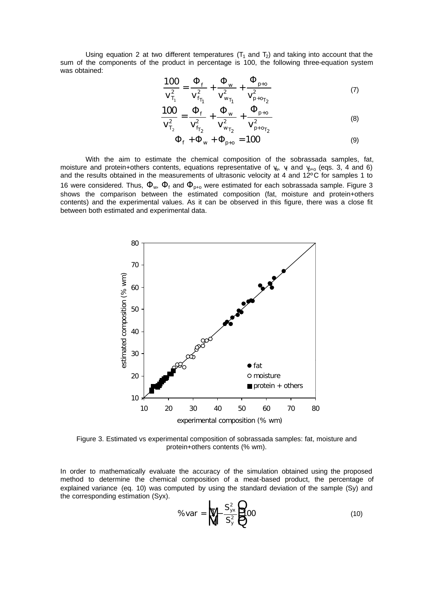Using equation 2 at two different temperatures  $(T_1$  and  $T_2)$  and taking into account that the sum of the components of the product in percentage is 100, the following three-equation system was obtained:

$$
\frac{100}{v_{T_1}^2} = \frac{\Phi_f}{v_{f_{T_1}}^2} + \frac{\Phi_w}{v_{w_{T_1}}^2} + \frac{\Phi_{p+o}}{v_{p+o_{T_2}}^2}
$$
(7)

$$
\frac{100}{V_{T_2}^2} = \frac{\Phi_f}{V_{f_{T_2}}^2} + \frac{\Phi_w}{V_{w_{T_2}}^2} + \frac{\Phi_{p+0}}{V_{p+o_{T_2}}^2}
$$
(8)

$$
\Phi_{\rm f} + \Phi_{\rm w} + \Phi_{\rm p+o} = 100\tag{9}
$$

With the aim to estimate the chemical composition of the sobrassada samples, fat, moisture and protein+others contents, equations representative of  $\psi$ ,  $\psi$  and  $\psi$ <sub>+o</sub> (eqs. 3, 4 and 6) and the results obtained in the measurements of ultrasonic velocity at 4 and 12ºC for samples 1 to 16 were considered. Thus,  $\Phi_w$ ,  $\Phi_f$  and  $\Phi_{p+0}$  were estimated for each sobrassada sample. Figure 3 shows the comparison between the estimated composition (fat, moisture and protein+others contents) and the experimental values. As it can be observed in this figure, there was a close fit between both estimated and experimental data.



Figure 3. Estimated vs experimental composition of sobrassada samples: fat, moisture and protein+others contents (% wm).

In order to mathematically evaluate the accuracy of the simulation obtained using the proposed method to determine the chemical composition of a meat-based product, the percentage of explained variance (eq. 10) was computed by using the standard deviation of the sample (Sy) and the corresponding estimation (Syx).

$$
\%var = \mathbf{W} = \frac{S_{yx}^2}{S_y^2} = 0
$$
\n(10)